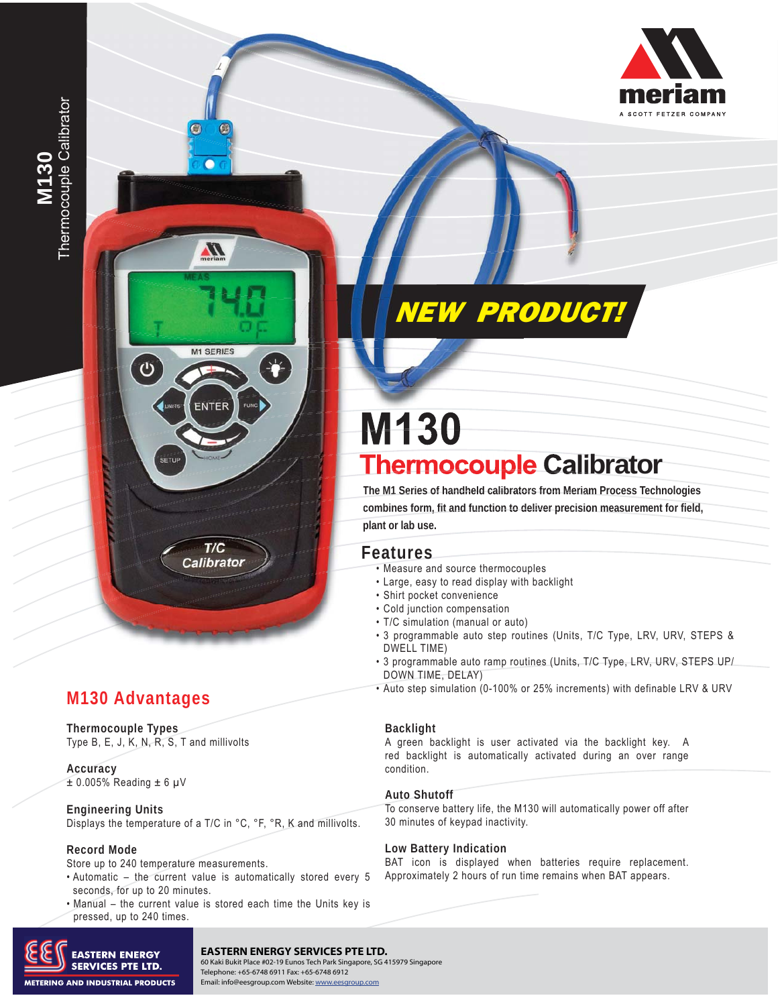

 $\mathbf{C}$ 

**Thermocouple Types** Type B, E, J, K, N, R, S, T and millivolts

**Accuracy**   $± 0.005\%$  Reading  $± 6$  µV

**Engineering Units** Displays the temperature of a T/C in °C, °F, °R, K and millivolts.

G

Л

**M1 SERIES** 

ENTER

 $T/C$ **Calibrator** 

#### **Record Mode**

Store up to 240 temperature measurements.

- Automatic the current value is automatically stored every 5 seconds, for up to 20 minutes.
- Manual the current value is stored each time the Units key is pressed, up to 240 times.



#### **Meriam Process Technologies** 10920 Madison Ave. ▪ Cleveland, OH 44102 **EASTERN ENERGY SERVICES PTE LTD.**

TEL: 216.281.1100 • FELEPhone: +65-6748 6911 Fax: +65-6748 6912<br>Contacts – Email: info@percatour.com Mehsitre unnu economic com 60 Kaki Bukit Place #02-19 Eunos Tech Park Singapore, SG 415979 Singapore Email: info@eesgroup.com Website: www.eesgroup.com

# NEW PRODUCT!

# **M130 Thermocouple Calibrator**

**The M1 Series of handheld calibrators from Meriam Process Technologies am Meria combines form, fit and function to deliver precision measurement for field, plant or lab use.<br>
<b>Features plant or lab use.** 

- Measure and source thermocouples
- Large, easy to read display with backlight •
- Shirt pocket convenience
- Cold junction compensation •
- T/C simulation (manual or auto) •
- . 3 programmable auto step routines (Units, T/C Type, LRV, URV, STEPS & DWELL TIME)
- . 3 programmable auto ramp routines (Units, T/C Type, LRV, URV, STEPS UP/ DOWN TIME, DELAY)
- Auto step simulation (0-100% or 25% increments) with definable LRV & URV

#### **Backlight**

A green backlight is user activated via the backlight key. A red backlight is automatically activated during an over range condition.

#### **Auto Shutoff**

To conserve battery life, the M130 will automatically power off after 30 minutes of keypad inactivity.

#### **Low Battery Indication**

BAT icon is displayed when batteries require replacement. Approximately 2 hours of run time remains when BAT appears.